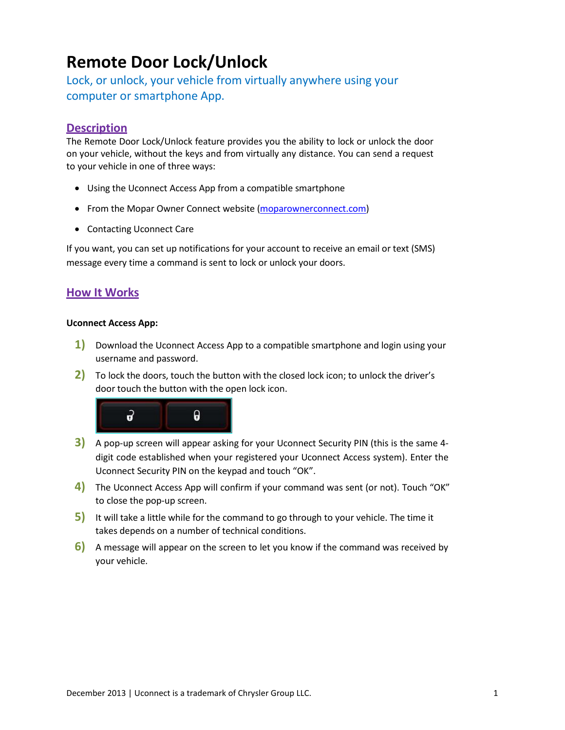# **Remote Door Lock/Unlock**

Lock, or unlock, your vehicle from virtually anywhere using your computer or smartphone App.

## **Description**

The Remote Door Lock/Unlock feature provides you the ability to lock or unlock the door on your vehicle, without the keys and from virtually any distance. You can send a request to your vehicle in one of three ways:

- Using the Uconnect Access App from a compatible smartphone
- From the Mopar Owner Connect website [\(moparownerconnect.com\)](http://www.moparownerconnect.com/)
- Contacting Uconnect Care

If you want, you can set up notifications for your account to receive an email or text (SMS) message every time a command is sent to lock or unlock your doors.

## **How It Works**

## **Uconnect Access App:**

- **1)** Download the Uconnect Access App to a compatible smartphone and login using your username and password.
- **2)** To lock the doors, touch the button with the closed lock icon; to unlock the driver's door touch the button with the open lock icon.



- **3)** A pop-up screen will appear asking for your Uconnect Security PIN (this is the same 4 digit code established when your registered your Uconnect Access system). Enter the Uconnect Security PIN on the keypad and touch "OK".
- **4)** The Uconnect Access App will confirm if your command was sent (or not). Touch "OK" to close the pop-up screen.
- **5)** It will take a little while for the command to go through to your vehicle. The time it takes depends on a number of technical conditions.
- **6)** A message will appear on the screen to let you know if the command was received by your vehicle.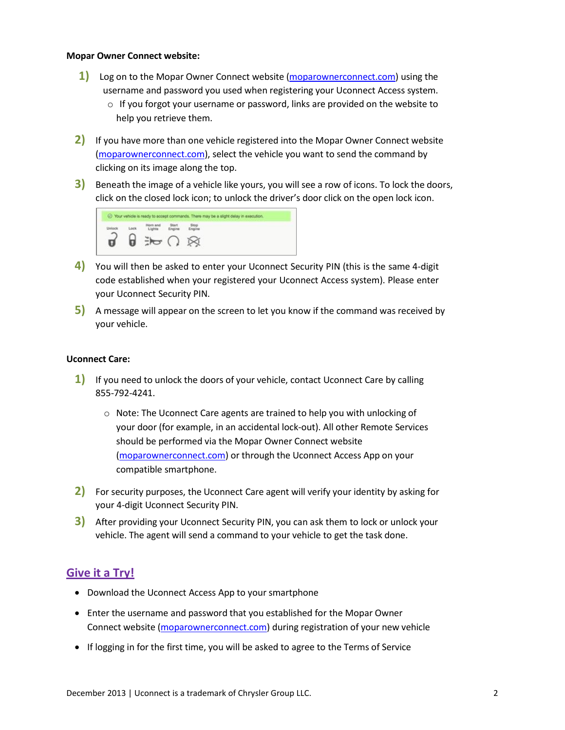#### **Mopar Owner Connect website:**

- **1)** Log on to the Mopar Owner Connect website [\(moparownerconnect.com\)](http://www.moparownerconnect.com/) using the username and password you used when registering your Uconnect Access system.
	- $\circ$  If you forgot your username or password, links are provided on the website to help you retrieve them.
- **2)** If you have more than one vehicle registered into the Mopar Owner Connect website [\(moparownerconnect.com\)](http://www.moparownerconnect.com/), select the vehicle you want to send the command by clicking on its image along the top.
- **3)** Beneath the image of a vehicle like yours, you will see a row of icons. To lock the doors, click on the closed lock icon; to unlock the driver's door click on the open lock icon.



- **4)** You will then be asked to enter your Uconnect Security PIN (this is the same 4-digit code established when your registered your Uconnect Access system). Please enter your Uconnect Security PIN.
- **5)** A message will appear on the screen to let you know if the command was received by your vehicle.

## **Uconnect Care:**

- **1)** If you need to unlock the doors of your vehicle, contact Uconnect Care by calling 855-792-4241.
	- $\circ$  Note: The Uconnect Care agents are trained to help you with unlocking of your door (for example, in an accidental lock-out). All other Remote Services should be performed via the Mopar Owner Connect website [\(moparownerconnect.com\)](http://www.moparownerconnect.com/) or through the Uconnect Access App on your compatible smartphone.
- **2)** For security purposes, the Uconnect Care agent will verify your identity by asking for your 4-digit Uconnect Security PIN.
- **3)** After providing your Uconnect Security PIN, you can ask them to lock or unlock your vehicle. The agent will send a command to your vehicle to get the task done.

## **Give it a Try!**

- Download the Uconnect Access App to your smartphone
- Enter the username and password that you established for the Mopar Owner Connect website [\(moparownerconnect.com\)](http://www.moparownerconnect.com/) during registration of your new vehicle
- If logging in for the first time, you will be asked to agree to the Terms of Service